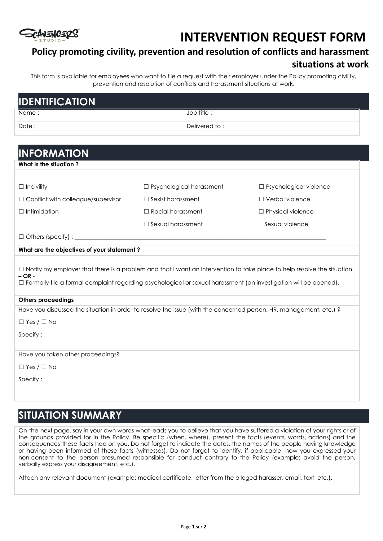# **SCANENCERS**

## **INTERVENTION REQUEST FORM**

### **Policy promoting civility, prevention and resolution of conflicts and harassment situations at work**

This form is available for employees who want to file a request with their employer under the Policy promoting civility, prevention and resolution of conflicts and harassment situations at work.

| <b>IDENTIFICATION</b>                                                                                                                                                                                                                                                   |                                 |                               |
|-------------------------------------------------------------------------------------------------------------------------------------------------------------------------------------------------------------------------------------------------------------------------|---------------------------------|-------------------------------|
| Name:                                                                                                                                                                                                                                                                   | Job title:                      |                               |
| Date:                                                                                                                                                                                                                                                                   | Delivered to:                   |                               |
|                                                                                                                                                                                                                                                                         |                                 |                               |
| <b>INFORMATION</b>                                                                                                                                                                                                                                                      |                                 |                               |
| What Is the situation?                                                                                                                                                                                                                                                  |                                 |                               |
|                                                                                                                                                                                                                                                                         |                                 |                               |
| $\Box$ Incivility                                                                                                                                                                                                                                                       | $\Box$ Psychological harassment | $\Box$ Psychological violence |
| □ Conflict with colleague/supervisor                                                                                                                                                                                                                                    | $\Box$ Sexist harassment        | $\Box$ Verbal violence        |
| $\Box$ Intimidation                                                                                                                                                                                                                                                     | $\Box$ Racial harassment        | $\Box$ Physical violence      |
|                                                                                                                                                                                                                                                                         | $\Box$ Sexual harassment        | $\Box$ Sexual violence        |
|                                                                                                                                                                                                                                                                         |                                 |                               |
| What are the objectives of your statement?                                                                                                                                                                                                                              |                                 |                               |
| $\Box$ Notify my employer that there is a problem and that I want an intervention to take place to help resolve the situation.<br>$-$ OR $-$<br>$\Box$ Formally file a formal complaint regarding psychological or sexual harassment (an investigation will be opened). |                                 |                               |
| <b>Others proceedings</b>                                                                                                                                                                                                                                               |                                 |                               |
| Have you discussed the situation in order to resolve the issue (with the concerned person, HR, management, etc.) ?                                                                                                                                                      |                                 |                               |
| $\Box$ Yes / $\Box$ No                                                                                                                                                                                                                                                  |                                 |                               |
| Specify:                                                                                                                                                                                                                                                                |                                 |                               |
|                                                                                                                                                                                                                                                                         |                                 |                               |
| Have you taken other proceedings?                                                                                                                                                                                                                                       |                                 |                               |
| $\Box$ Yes / $\Box$ No                                                                                                                                                                                                                                                  |                                 |                               |
| Specify:                                                                                                                                                                                                                                                                |                                 |                               |
|                                                                                                                                                                                                                                                                         |                                 |                               |
|                                                                                                                                                                                                                                                                         |                                 |                               |

### **SITUATION SUMMARY**

On the next page, say in your own words what leads you to believe that you have suffered a violation of your rights or of the grounds provided for in the Policy. Be specific (when, where), present the facts (events, words, actions) and the consequences these facts had on you. Do not forget to indicate the dates, the names of the people having knowledge or having been informed of these facts (witnesses). Do not forget to identify, if applicable, how you expressed your non-consent to the person presumed responsible for conduct contrary to the Policy (example: avoid the person, verbally express your disagreement, etc.).

Attach any relevant document (example: medical certificate, letter from the alleged harasser, email, text, etc.).